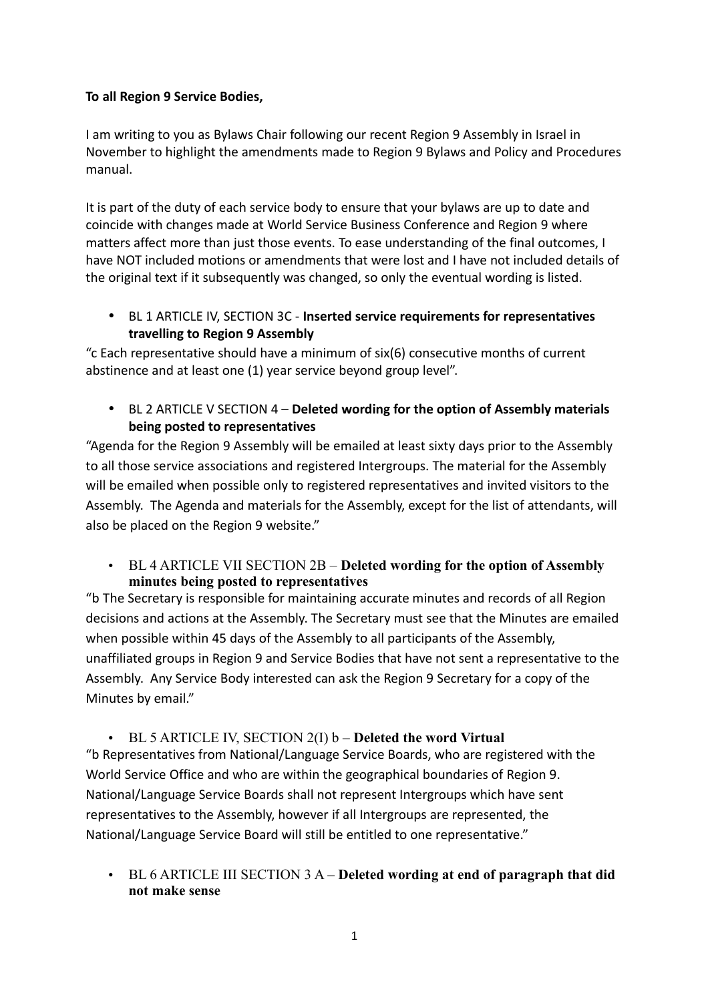### **To all Region 9 Service Bodies,**

I am writing to you as Bylaws Chair following our recent Region 9 Assembly in Israel in November to highlight the amendments made to Region 9 Bylaws and Policy and Procedures manual.

It is part of the duty of each service body to ensure that your bylaws are up to date and coincide with changes made at World Service Business Conference and Region 9 where matters affect more than just those events. To ease understanding of the final outcomes, I have NOT included motions or amendments that were lost and I have not included details of the original text if it subsequently was changed, so only the eventual wording is listed.

• BL 1 ARTICLE IV, SECTION 3C - **Inserted service requirements for representatives travelling to Region 9 Assembly**

"c Each representative should have a minimum of six(6) consecutive months of current abstinence and at least one (1) year service beyond group level".

• BL 2 ARTICLE V SECTION 4 – **Deleted wording for the option of Assembly materials being posted to representatives**

"Agenda for the Region 9 Assembly will be emailed at least sixty days prior to the Assembly to all those service associations and registered Intergroups. The material for the Assembly will be emailed when possible only to registered representatives and invited visitors to the Assembly. The Agenda and materials for the Assembly, except for the list of attendants, will also be placed on the Region 9 website."

• BL 4 ARTICLE VII SECTION 2B – **Deleted wording for the option of Assembly minutes being posted to representatives**

"b The Secretary is responsible for maintaining accurate minutes and records of all Region decisions and actions at the Assembly. The Secretary must see that the Minutes are emailed when possible within 45 days of the Assembly to all participants of the Assembly, unaffiliated groups in Region 9 and Service Bodies that have not sent a representative to the Assembly. Any Service Body interested can ask the Region 9 Secretary for a copy of the Minutes by email."

• BL 5 ARTICLE IV, SECTION 2(I) b – **Deleted the word Virtual**  "b Representatives from National/Language Service Boards, who are registered with the World Service Office and who are within the geographical boundaries of Region 9. National/Language Service Boards shall not represent Intergroups which have sent representatives to the Assembly, however if all Intergroups are represented, the National/Language Service Board will still be entitled to one representative."

• BL 6 ARTICLE III SECTION 3 A – **Deleted wording at end of paragraph that did not make sense**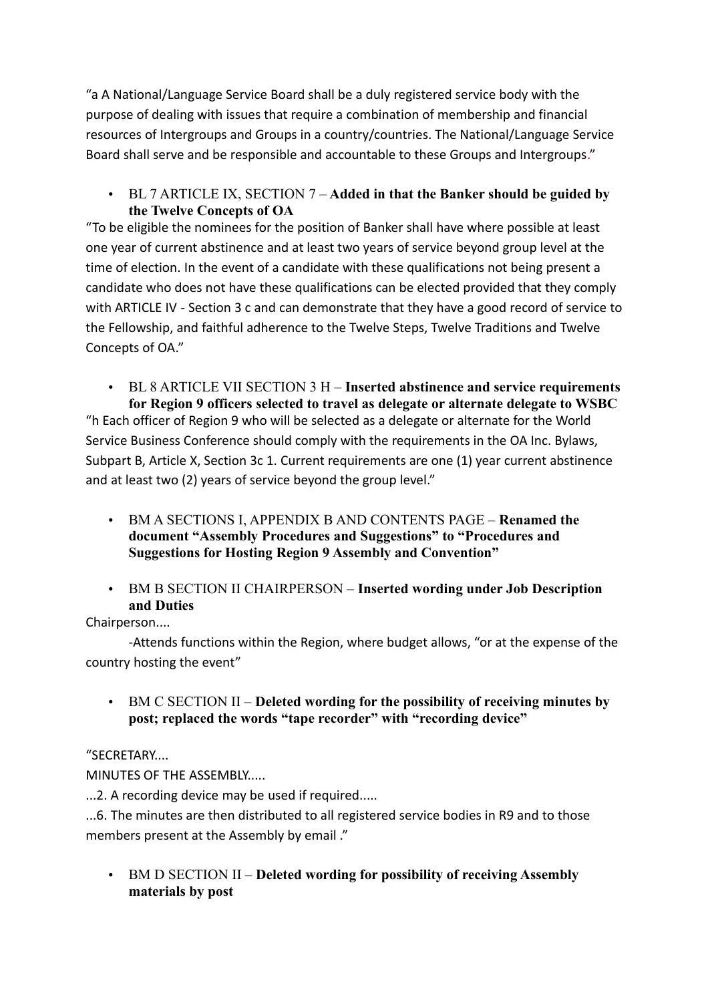"a A National/Language Service Board shall be a duly registered service body with the purpose of dealing with issues that require a combination of membership and financial resources of Intergroups and Groups in a country/countries. The National/Language Service Board shall serve and be responsible and accountable to these Groups and Intergroups."

• BL 7 ARTICLE IX, SECTION 7 – **Added in that the Banker should be guided by the Twelve Concepts of OA**

"To be eligible the nominees for the position of Banker shall have where possible at least one year of current abstinence and at least two years of service beyond group level at the time of election. In the event of a candidate with these qualifications not being present a candidate who does not have these qualifications can be elected provided that they comply with ARTICLE IV - Section 3 c and can demonstrate that they have a good record of service to the Fellowship, and faithful adherence to the Twelve Steps, Twelve Traditions and Twelve Concepts of OA."

• BL 8 ARTICLE VII SECTION 3 H – **Inserted abstinence and service requirements for Region 9 officers selected to travel as delegate or alternate delegate to WSBC**  "h Each officer of Region 9 who will be selected as a delegate or alternate for the World Service Business Conference should comply with the requirements in the OA Inc. Bylaws, Subpart B, Article X, Section 3c 1. Current requirements are one (1) year current abstinence and at least two (2) years of service beyond the group level."

- BM A SECTIONS I, APPENDIX B AND CONTENTS PAGE **Renamed the document "Assembly Procedures and Suggestions" to "Procedures and Suggestions for Hosting Region 9 Assembly and Convention"**
- BM B SECTION II CHAIRPERSON **Inserted wording under Job Description and Duties**

# Chairperson....

-Attends functions within the Region, where budget allows, "or at the expense of the country hosting the event"

• BM C SECTION II – **Deleted wording for the possibility of receiving minutes by post; replaced the words "tape recorder" with "recording device"**

# "SECRETARY....

MINUTES OF THE ASSEMBLY.....

...2. A recording device may be used if required.....

...6. The minutes are then distributed to all registered service bodies in R9 and to those members present at the Assembly by email ."

• BM D SECTION II – **Deleted wording for possibility of receiving Assembly materials by post**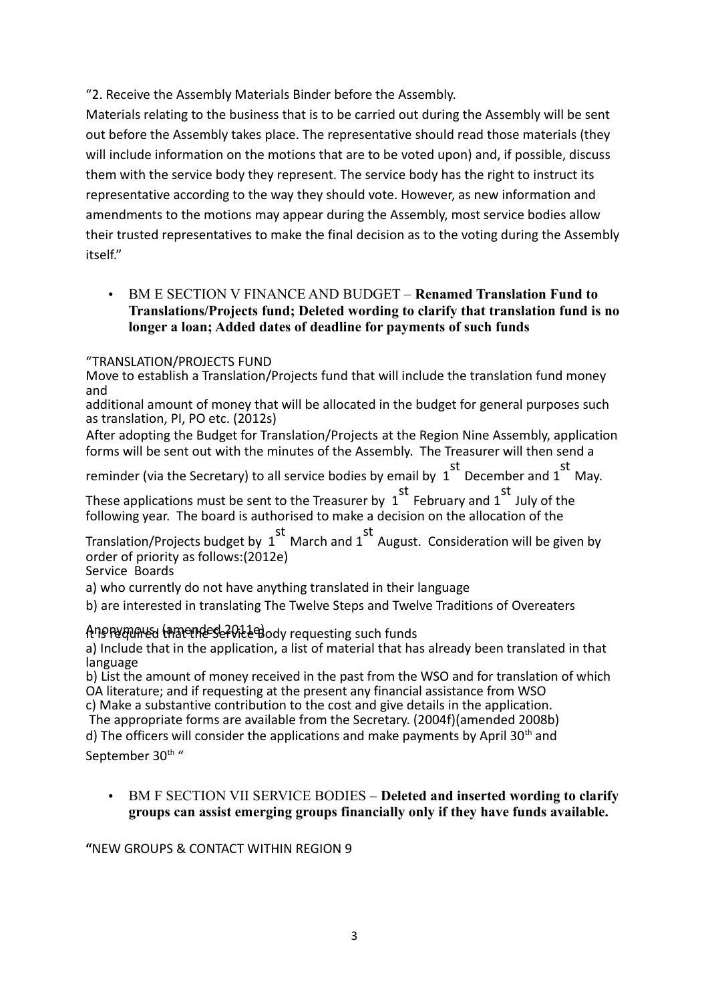"2. Receive the Assembly Materials Binder before the Assembly.

Materials relating to the business that is to be carried out during the Assembly will be sent out before the Assembly takes place. The representative should read those materials (they will include information on the motions that are to be voted upon) and, if possible, discuss them with the service body they represent. The service body has the right to instruct its representative according to the way they should vote. However, as new information and amendments to the motions may appear during the Assembly, most service bodies allow their trusted representatives to make the final decision as to the voting during the Assembly itself."

• BM E SECTION V FINANCE AND BUDGET – **Renamed Translation Fund to Translations/Projects fund; Deleted wording to clarify that translation fund is no longer a loan; Added dates of deadline for payments of such funds**

"TRANSLATION/PROJECTS FUND

Move to establish a Translation/Projects fund that will include the translation fund money and

additional amount of money that will be allocated in the budget for general purposes such as translation, PI, PO etc. (2012s)

After adopting the Budget for Translation/Projects at the Region Nine Assembly, application forms will be sent out with the minutes of the Assembly. The Treasurer will then send a

reminder (via the Secretary) to all service bodies by email by 1 st December and 1 st May.

These applications must be sent to the Treasurer by 1 st February and 1 st July of the following year. The board is authorised to make a decision on the allocation of the

Translation/Projects budget by 1 st March and 1 st August. Consideration will be given by order of priority as follows:(2012e)

Service Boards

a) who currently do not have anything translated in their language

b) are interested in translating The Twelve Steps and Twelve Traditions of Overeaters

## Anonymous (amendes 2012 and y requesting such funds

a) Include that in the application, a list of material that has already been translated in that language

b) List the amount of money received in the past from the WSO and for translation of which OA literature; and if requesting at the present any financial assistance from WSO

c) Make a substantive contribution to the cost and give details in the application. The appropriate forms are available from the Secretary. (2004f)(amended 2008b)

d) The officers will consider the applications and make payments by April 30<sup>th</sup> and

September 30<sup>th</sup> "

• BM F SECTION VII SERVICE BODIES – **Deleted and inserted wording to clarify groups can assist emerging groups financially only if they have funds available.**

**"**NEW GROUPS & CONTACT WITHIN REGION 9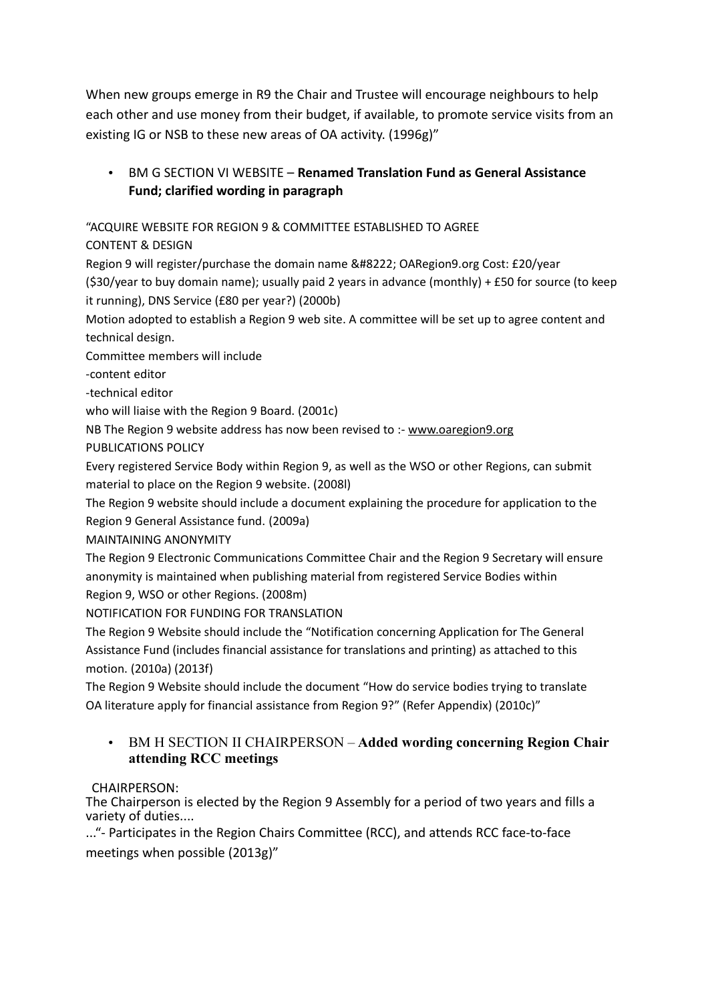When new groups emerge in R9 the Chair and Trustee will encourage neighbours to help each other and use money from their budget, if available, to promote service visits from an existing IG or NSB to these new areas of OA activity. (1996g)"

# • BM G SECTION VI WEBSITE – **Renamed Translation Fund as General Assistance Fund; clarified wording in paragraph**

"ACQUIRE WEBSITE FOR REGION 9 & COMMITTEE ESTABLISHED TO AGREE

CONTENT & DESIGN

Region 9 will register/purchase the domain name " OARegion9.org Cost: £20/year (\$30/year to buy domain name); usually paid 2 years in advance (monthly) + £50 for source (to keep it running), DNS Service (£80 per year?) (2000b)

Motion adopted to establish a Region 9 web site. A committee will be set up to agree content and technical design.

Committee members will include

-content editor

-technical editor

who will liaise with the Region 9 Board. (2001c)

NB The Re[g](http://www.oaregion9.org/)ion 9 website address has now been revised to :- www.oaregion9.org

PUBLICATIONS POLICY

Every registered Service Body within Region 9, as well as the WSO or other Regions, can submit material to place on the Region 9 website. (2008l)

The Region 9 website should include a document explaining the procedure for application to the Region 9 General Assistance fund. (2009a)

MAINTAINING ANONYMITY

The Region 9 Electronic Communications Committee Chair and the Region 9 Secretary will ensure anonymity is maintained when publishing material from registered Service Bodies within Region 9, WSO or other Regions. (2008m)

NOTIFICATION FOR FUNDING FOR TRANSLATION

The Region 9 Website should include the "Notification concerning Application for The General Assistance Fund (includes financial assistance for translations and printing) as attached to this motion. (2010a) (2013f)

The Region 9 Website should include the document "How do service bodies trying to translate OA literature apply for financial assistance from Region 9?" (Refer Appendix) (2010c)"

### • BM H SECTION II CHAIRPERSON – **Added wording concerning Region Chair attending RCC meetings**

### CHAIRPERSON:

The Chairperson is elected by the Region 9 Assembly for a period of two years and fills a variety of duties....

..."- Participates in the Region Chairs Committee (RCC), and attends RCC face-to-face meetings when possible (2013g)"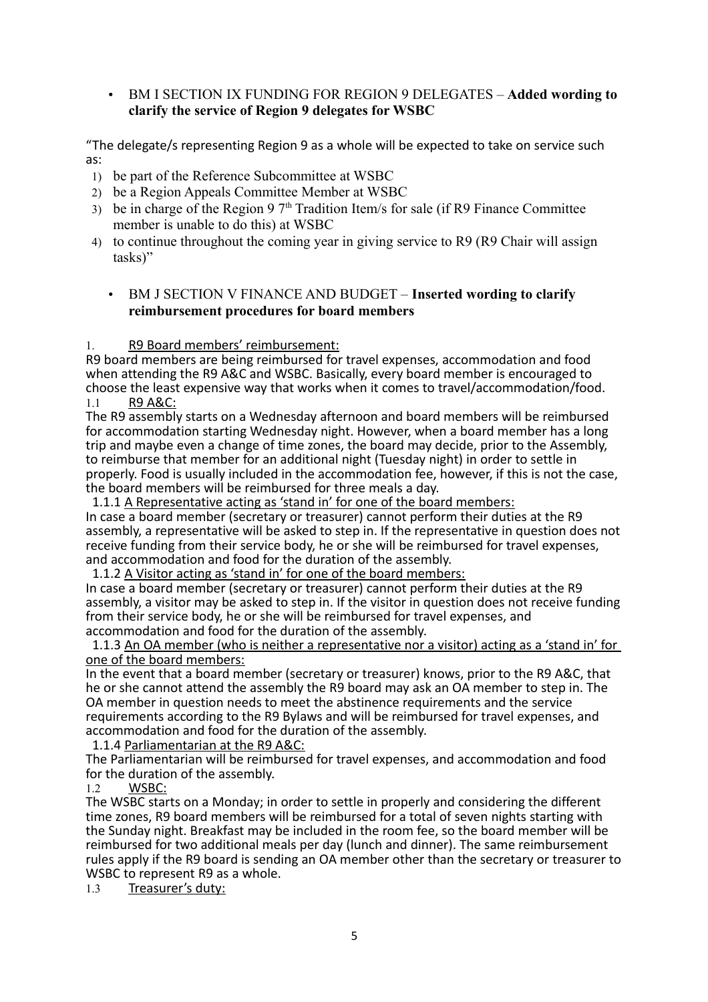### • BM I SECTION IX FUNDING FOR REGION 9 DELEGATES – **Added wording to clarify the service of Region 9 delegates for WSBC**

"The delegate/s representing Region 9 as a whole will be expected to take on service such as:

- 1) be part of the Reference Subcommittee at WSBC
- 2) be a Region Appeals Committee Member at WSBC
- 3) be in charge of the Region 9  $7<sup>th</sup>$  Tradition Item/s for sale (if R9 Finance Committee member is unable to do this) at WSBC
- 4) to continue throughout the coming year in giving service to R9 (R9 Chair will assign tasks)"
	- BM J SECTION V FINANCE AND BUDGET **Inserted wording to clarify reimbursement procedures for board members**

### 1. R9 Board members' reimbursement:

R9 board members are being reimbursed for travel expenses, accommodation and food when attending the R9 A&C and WSBC. Basically, every board member is encouraged to choose the least expensive way that works when it comes to travel/accommodation/food. 1.1 R9 A&C:

The R9 assembly starts on a Wednesday afternoon and board members will be reimbursed for accommodation starting Wednesday night. However, when a board member has a long trip and maybe even a change of time zones, the board may decide, prior to the Assembly, to reimburse that member for an additional night (Tuesday night) in order to settle in properly. Food is usually included in the accommodation fee, however, if this is not the case, the board members will be reimbursed for three meals a day.

1.1.1 A Representative acting as 'stand in' for one of the board members:

In case a board member (secretary or treasurer) cannot perform their duties at the R9 assembly, a representative will be asked to step in. If the representative in question does not receive funding from their service body, he or she will be reimbursed for travel expenses, and accommodation and food for the duration of the assembly.

1.1.2 A Visitor acting as 'stand in' for one of the board members:

In case a board member (secretary or treasurer) cannot perform their duties at the R9 assembly, a visitor may be asked to step in. If the visitor in question does not receive funding from their service body, he or she will be reimbursed for travel expenses, and accommodation and food for the duration of the assembly.

 1.1.3 An OA member (who is neither a representative nor a visitor) acting as a 'stand in' for one of the board members:

In the event that a board member (secretary or treasurer) knows, prior to the R9 A&C, that he or she cannot attend the assembly the R9 board may ask an OA member to step in. The OA member in question needs to meet the abstinence requirements and the service requirements according to the R9 Bylaws and will be reimbursed for travel expenses, and accommodation and food for the duration of the assembly.

1.1.4 Parliamentarian at the R9 A&C:

The Parliamentarian will be reimbursed for travel expenses, and accommodation and food for the duration of the assembly.

1.2 WSBC:

The WSBC starts on a Monday; in order to settle in properly and considering the different time zones, R9 board members will be reimbursed for a total of seven nights starting with the Sunday night. Breakfast may be included in the room fee, so the board member will be reimbursed for two additional meals per day (lunch and dinner). The same reimbursement rules apply if the R9 board is sending an OA member other than the secretary or treasurer to WSBC to represent R9 as a whole.

1.3 Treasurer's duty: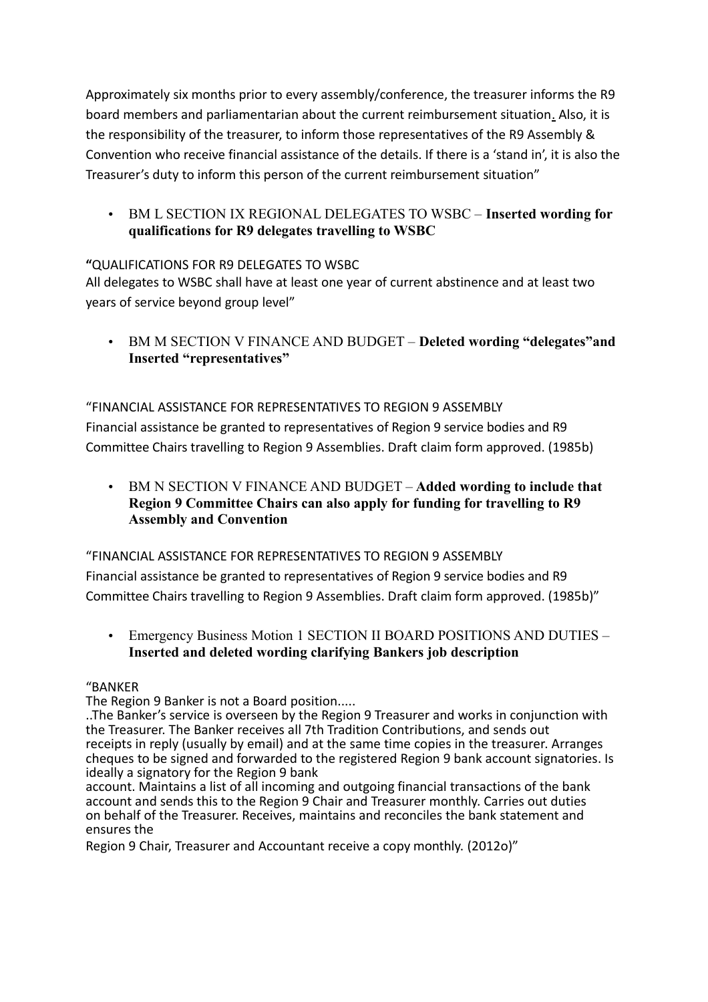Approximately six months prior to every assembly/conference, the treasurer informs the R9 board members and parliamentarian about the current reimbursement situation. Also, it is the responsibility of the treasurer, to inform those representatives of the R9 Assembly & Convention who receive financial assistance of the details. If there is a 'stand in', it is also the Treasurer's duty to inform this person of the current reimbursement situation"

• BM L SECTION IX REGIONAL DELEGATES TO WSBC – **Inserted wording for qualifications for R9 delegates travelling to WSBC**

## **"**QUALIFICATIONS FOR R9 DELEGATES TO WSBC

All delegates to WSBC shall have at least one year of current abstinence and at least two years of service beyond group level"

• BM M SECTION V FINANCE AND BUDGET – **Deleted wording "delegates"and Inserted "representatives"**

## "FINANCIAL ASSISTANCE FOR REPRESENTATIVES TO REGION 9 ASSEMBLY

Financial assistance be granted to representatives of Region 9 service bodies and R9 Committee Chairs travelling to Region 9 Assemblies. Draft claim form approved. (1985b)

• BM N SECTION V FINANCE AND BUDGET – **Added wording to include that Region 9 Committee Chairs can also apply for funding for travelling to R9 Assembly and Convention**

### "FINANCIAL ASSISTANCE FOR REPRESENTATIVES TO REGION 9 ASSEMBLY

Financial assistance be granted to representatives of Region 9 service bodies and R9 Committee Chairs travelling to Region 9 Assemblies. Draft claim form approved. (1985b)"

• Emergency Business Motion 1 SECTION II BOARD POSITIONS AND DUTIES – **Inserted and deleted wording clarifying Bankers job description** 

### "BANKER

The Region 9 Banker is not a Board position.....

..The Banker's service is overseen by the Region 9 Treasurer and works in conjunction with the Treasurer. The Banker receives all 7th Tradition Contributions, and sends out receipts in reply (usually by email) and at the same time copies in the treasurer. Arranges cheques to be signed and forwarded to the registered Region 9 bank account signatories. Is ideally a signatory for the Region 9 bank

account. Maintains a list of all incoming and outgoing financial transactions of the bank account and sends this to the Region 9 Chair and Treasurer monthly. Carries out duties on behalf of the Treasurer. Receives, maintains and reconciles the bank statement and ensures the

Region 9 Chair, Treasurer and Accountant receive a copy monthly. (2012o)"